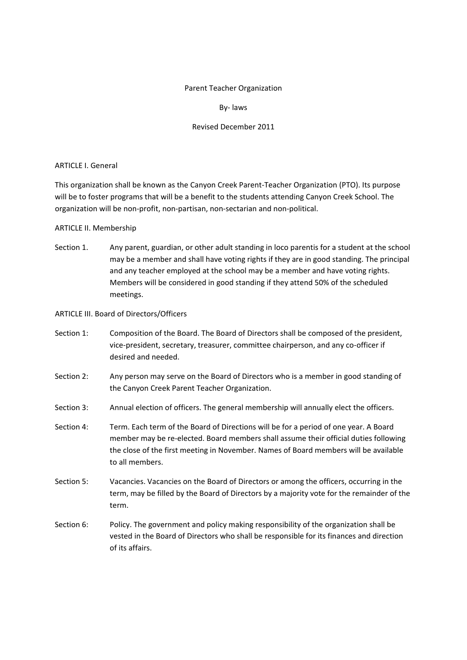## Parent Teacher Organization

## By‐ laws

# Revised December 2011

## ARTICLE I. General

This organization shall be known as the Canyon Creek Parent‐Teacher Organization (PTO). Its purpose will be to foster programs that will be a benefit to the students attending Canyon Creek School. The organization will be non‐profit, non‐partisan, non‐sectarian and non‐political.

# ARTICLE II. Membership

Section 1. Any parent, guardian, or other adult standing in loco parentis for a student at the school may be a member and shall have voting rights if they are in good standing. The principal and any teacher employed at the school may be a member and have voting rights. Members will be considered in good standing if they attend 50% of the scheduled meetings.

## ARTICLE III. Board of Directors/Officers

- Section 1: Composition of the Board. The Board of Directors shall be composed of the president, vice‐president, secretary, treasurer, committee chairperson, and any co‐officer if desired and needed.
- Section 2: Any person may serve on the Board of Directors who is a member in good standing of the Canyon Creek Parent Teacher Organization.
- Section 3: Annual election of officers. The general membership will annually elect the officers.
- Section 4: Term. Each term of the Board of Directions will be for a period of one year. A Board member may be re‐elected. Board members shall assume their official duties following the close of the first meeting in November. Names of Board members will be available to all members.
- Section 5: Vacancies. Vacancies on the Board of Directors or among the officers, occurring in the term, may be filled by the Board of Directors by a majority vote for the remainder of the term.
- Section 6: Policy. The government and policy making responsibility of the organization shall be vested in the Board of Directors who shall be responsible for its finances and direction of its affairs.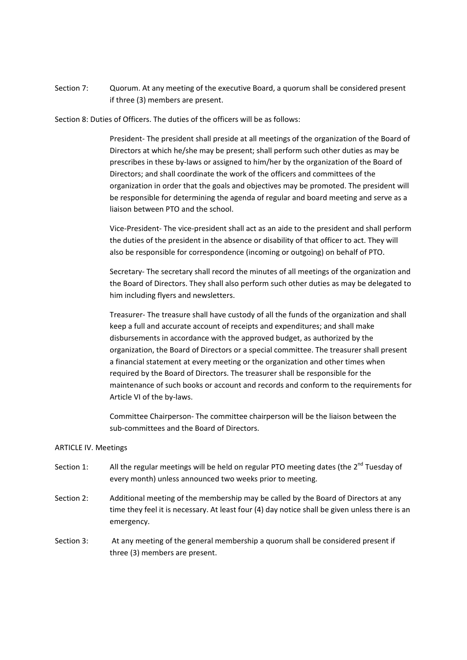Section 7: Quorum. At any meeting of the executive Board, a quorum shall be considered present if three (3) members are present.

Section 8: Duties of Officers. The duties of the officers will be as follows:

President‐ The president shall preside at all meetings of the organization of the Board of Directors at which he/she may be present; shall perform such other duties as may be prescribes in these by‐laws or assigned to him/her by the organization of the Board of Directors; and shall coordinate the work of the officers and committees of the organization in order that the goals and objectives may be promoted. The president will be responsible for determining the agenda of regular and board meeting and serve as a liaison between PTO and the school.

Vice‐President‐ The vice‐president shall act as an aide to the president and shall perform the duties of the president in the absence or disability of that officer to act. They will also be responsible for correspondence (incoming or outgoing) on behalf of PTO.

Secretary- The secretary shall record the minutes of all meetings of the organization and the Board of Directors. They shall also perform such other duties as may be delegated to him including flyers and newsletters.

Treasurer‐ The treasure shall have custody of all the funds of the organization and shall keep a full and accurate account of receipts and expenditures; and shall make disbursements in accordance with the approved budget, as authorized by the organization, the Board of Directors or a special committee. The treasurer shall present a financial statement at every meeting or the organization and other times when required by the Board of Directors. The treasurer shall be responsible for the maintenance of such books or account and records and conform to the requirements for Article VI of the by‐laws.

Committee Chairperson‐ The committee chairperson will be the liaison between the sub‐committees and the Board of Directors.

#### ARTICLE IV. Meetings

- Section 1: All the regular meetings will be held on regular PTO meeting dates (the  $2^{nd}$  Tuesday of every month) unless announced two weeks prior to meeting.
- Section 2: Additional meeting of the membership may be called by the Board of Directors at any time they feel it is necessary. At least four (4) day notice shall be given unless there is an emergency.
- Section 3: At any meeting of the general membership a quorum shall be considered present if three (3) members are present.